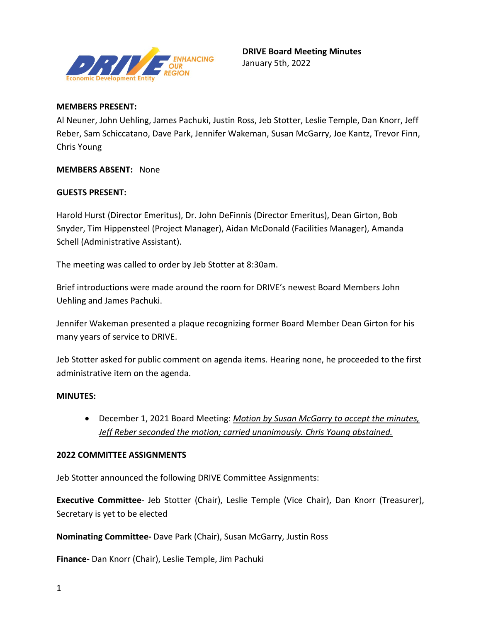

#### **MEMBERS PRESENT:**

Al Neuner, John Uehling, James Pachuki, Justin Ross, Jeb Stotter, Leslie Temple, Dan Knorr, Jeff Reber, Sam Schiccatano, Dave Park, Jennifer Wakeman, Susan McGarry, Joe Kantz, Trevor Finn, Chris Young

**MEMBERS ABSENT:** None

#### **GUESTS PRESENT:**

Harold Hurst (Director Emeritus), Dr. John DeFinnis (Director Emeritus), Dean Girton, Bob Snyder, Tim Hippensteel (Project Manager), Aidan McDonald (Facilities Manager), Amanda Schell (Administrative Assistant).

The meeting was called to order by Jeb Stotter at 8:30am.

Brief introductions were made around the room for DRIVE's newest Board Members John Uehling and James Pachuki.

Jennifer Wakeman presented a plaque recognizing former Board Member Dean Girton for his many years of service to DRIVE.

Jeb Stotter asked for public comment on agenda items. Hearing none, he proceeded to the first administrative item on the agenda.

#### **MINUTES:**

• December 1, 2021 Board Meeting: *Motion by Susan McGarry to accept the minutes, Jeff Reber seconded the motion; carried unanimously. Chris Young abstained.*

#### **2022 COMMITTEE ASSIGNMENTS**

Jeb Stotter announced the following DRIVE Committee Assignments:

**Executive Committee**- Jeb Stotter (Chair), Leslie Temple (Vice Chair), Dan Knorr (Treasurer), Secretary is yet to be elected

#### **Nominating Committee-** Dave Park (Chair), Susan McGarry, Justin Ross

**Finance-** Dan Knorr (Chair), Leslie Temple, Jim Pachuki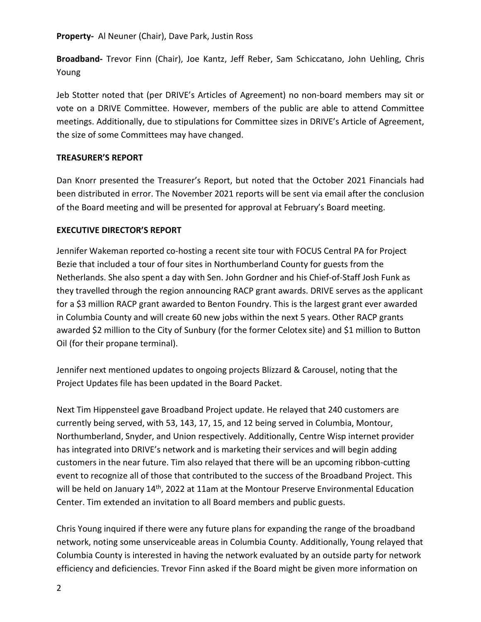#### **Property-** Al Neuner (Chair), Dave Park, Justin Ross

**Broadband-** Trevor Finn (Chair), Joe Kantz, Jeff Reber, Sam Schiccatano, John Uehling, Chris Young

Jeb Stotter noted that (per DRIVE's Articles of Agreement) no non-board members may sit or vote on a DRIVE Committee. However, members of the public are able to attend Committee meetings. Additionally, due to stipulations for Committee sizes in DRIVE's Article of Agreement, the size of some Committees may have changed.

#### **TREASURER'S REPORT**

Dan Knorr presented the Treasurer's Report, but noted that the October 2021 Financials had been distributed in error. The November 2021 reports will be sent via email after the conclusion of the Board meeting and will be presented for approval at February's Board meeting.

## **EXECUTIVE DIRECTOR'S REPORT**

Jennifer Wakeman reported co-hosting a recent site tour with FOCUS Central PA for Project Bezie that included a tour of four sites in Northumberland County for guests from the Netherlands. She also spent a day with Sen. John Gordner and his Chief-of-Staff Josh Funk as they travelled through the region announcing RACP grant awards. DRIVE serves as the applicant for a \$3 million RACP grant awarded to Benton Foundry. This is the largest grant ever awarded in Columbia County and will create 60 new jobs within the next 5 years. Other RACP grants awarded \$2 million to the City of Sunbury (for the former Celotex site) and \$1 million to Button Oil (for their propane terminal).

Jennifer next mentioned updates to ongoing projects Blizzard & Carousel, noting that the Project Updates file has been updated in the Board Packet.

Next Tim Hippensteel gave Broadband Project update. He relayed that 240 customers are currently being served, with 53, 143, 17, 15, and 12 being served in Columbia, Montour, Northumberland, Snyder, and Union respectively. Additionally, Centre Wisp internet provider has integrated into DRIVE's network and is marketing their services and will begin adding customers in the near future. Tim also relayed that there will be an upcoming ribbon-cutting event to recognize all of those that contributed to the success of the Broadband Project. This will be held on January 14<sup>th</sup>, 2022 at 11am at the Montour Preserve Environmental Education Center. Tim extended an invitation to all Board members and public guests.

Chris Young inquired if there were any future plans for expanding the range of the broadband network, noting some unserviceable areas in Columbia County. Additionally, Young relayed that Columbia County is interested in having the network evaluated by an outside party for network efficiency and deficiencies. Trevor Finn asked if the Board might be given more information on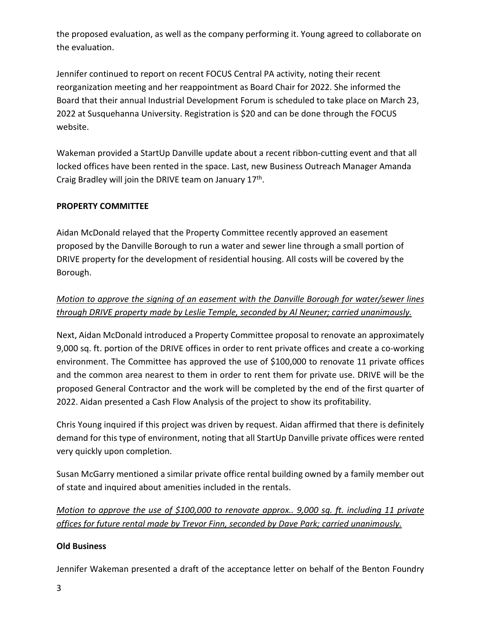the proposed evaluation, as well as the company performing it. Young agreed to collaborate on the evaluation.

Jennifer continued to report on recent FOCUS Central PA activity, noting their recent reorganization meeting and her reappointment as Board Chair for 2022. She informed the Board that their annual Industrial Development Forum is scheduled to take place on March 23, 2022 at Susquehanna University. Registration is \$20 and can be done through the FOCUS website.

Wakeman provided a StartUp Danville update about a recent ribbon-cutting event and that all locked offices have been rented in the space. Last, new Business Outreach Manager Amanda Craig Bradley will join the DRIVE team on January 17<sup>th</sup>.

## **PROPERTY COMMITTEE**

Aidan McDonald relayed that the Property Committee recently approved an easement proposed by the Danville Borough to run a water and sewer line through a small portion of DRIVE property for the development of residential housing. All costs will be covered by the Borough.

## *Motion to approve the signing of an easement with the Danville Borough for water/sewer lines through DRIVE property made by Leslie Temple, seconded by Al Neuner; carried unanimously.*

Next, Aidan McDonald introduced a Property Committee proposal to renovate an approximately 9,000 sq. ft. portion of the DRIVE offices in order to rent private offices and create a co-working environment. The Committee has approved the use of \$100,000 to renovate 11 private offices and the common area nearest to them in order to rent them for private use. DRIVE will be the proposed General Contractor and the work will be completed by the end of the first quarter of 2022. Aidan presented a Cash Flow Analysis of the project to show its profitability.

Chris Young inquired if this project was driven by request. Aidan affirmed that there is definitely demand for this type of environment, noting that all StartUp Danville private offices were rented very quickly upon completion.

Susan McGarry mentioned a similar private office rental building owned by a family member out of state and inquired about amenities included in the rentals.

*Motion to approve the use of \$100,000 to renovate approx.. 9,000 sq. ft. including 11 private offices for future rental made by Trevor Finn, seconded by Dave Park; carried unanimously.*

## **Old Business**

Jennifer Wakeman presented a draft of the acceptance letter on behalf of the Benton Foundry